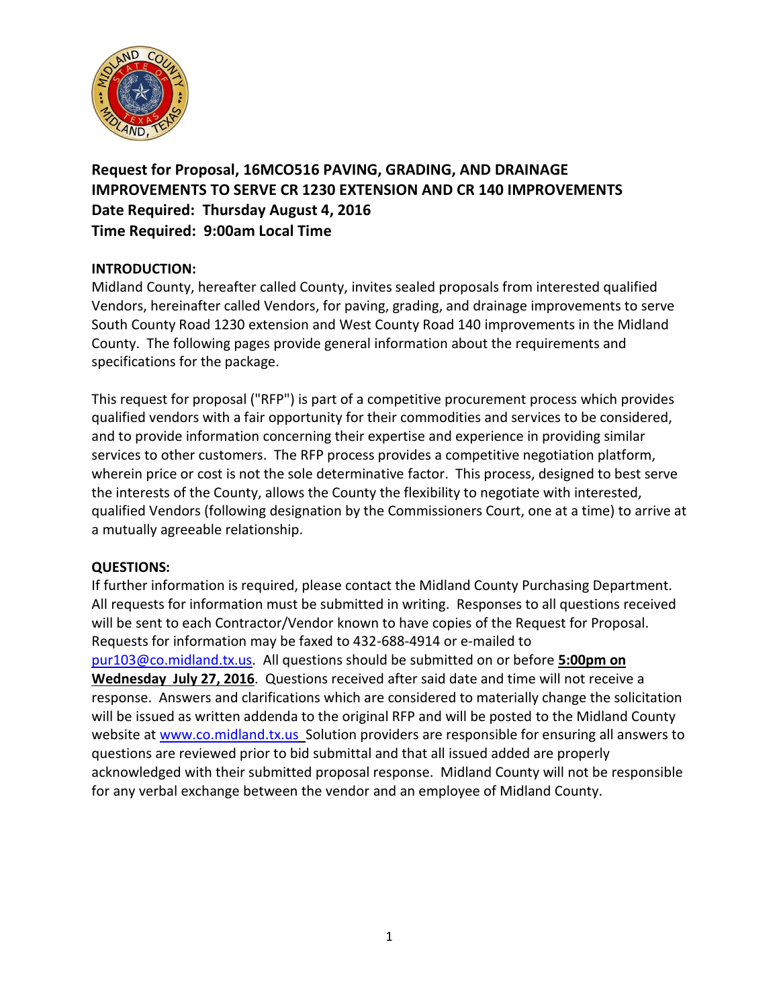

**Request for Proposal, 16MCO516 PAVING, GRADING, AND DRAINAGE IMPROVEMENTS TO SERVE CR 1230 EXTENSION AND CR 140 IMPROVEMENTS Date Required: Thursday August 4, 2016 Time Required: 9:00am Local Time**

# **INTRODUCTION:**

Midland County, hereafter called County, invites sealed proposals from interested qualified Vendors, hereinafter called Vendors, for paving, grading, and drainage improvements to serve South County Road 1230 extension and West County Road 140 improvements in the Midland County. The following pages provide general information about the requirements and specifications for the package.

This request for proposal ("RFP") is part of a competitive procurement process which provides qualified vendors with a fair opportunity for their commodities and services to be considered, and to provide information concerning their expertise and experience in providing similar services to other customers. The RFP process provides a competitive negotiation platform, wherein price or cost is not the sole determinative factor. This process, designed to best serve the interests of the County, allows the County the flexibility to negotiate with interested, qualified Vendors (following designation by the Commissioners Court, one at a time) to arrive at a mutually agreeable relationship.

# **QUESTIONS:**

If further information is required, please contact the Midland County Purchasing Department. All requests for information must be submitted in writing. Responses to all questions received will be sent to each Contractor/Vendor known to have copies of the Request for Proposal. Requests for information may be faxed to 432-688-4914 or e-mailed to [pur103@co.midland.tx.us.](mailto:pur103@co.midland.tx.us) All questions should be submitted on or before **5:00pm on Wednesday July 27, 2016**. Questions received after said date and time will not receive a response. Answers and clarifications which are considered to materially change the solicitation will be issued as written addenda to the original RFP and will be posted to the Midland County website at [www.co.midland.tx.us](http://www.co.midland.tx.us/) Solution providers are responsible for ensuring all answers to questions are reviewed prior to bid submittal and that all issued added are properly acknowledged with their submitted proposal response. Midland County will not be responsible for any verbal exchange between the vendor and an employee of Midland County.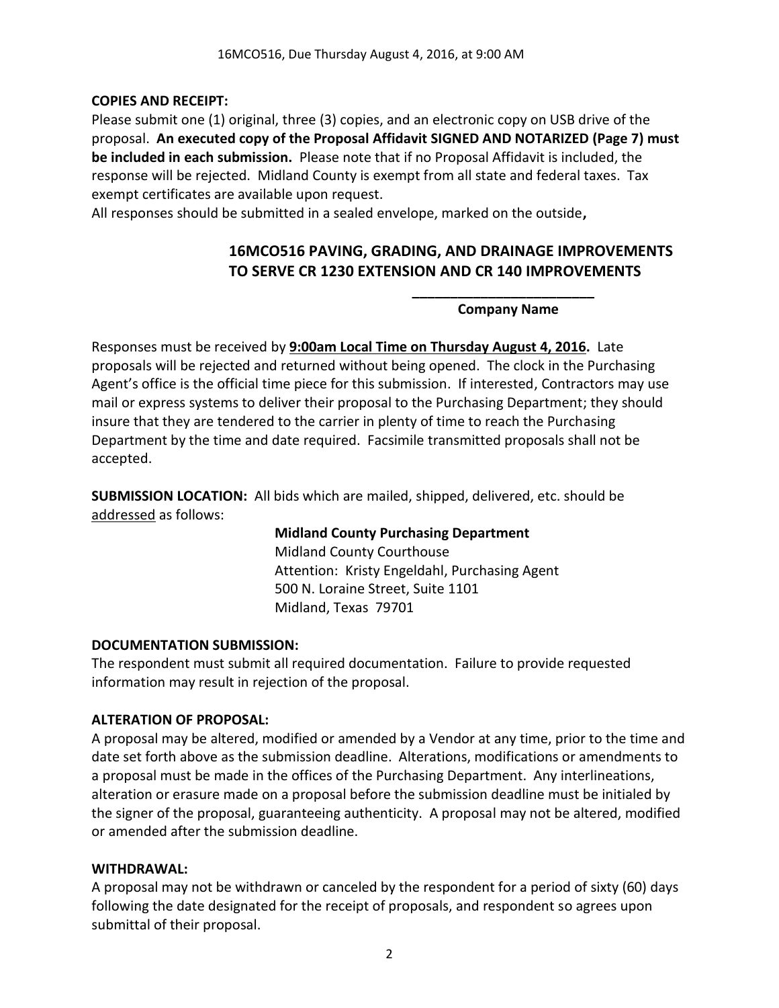### **COPIES AND RECEIPT:**

Please submit one (1) original, three (3) copies, and an electronic copy on USB drive of the proposal. **An executed copy of the Proposal Affidavit SIGNED AND NOTARIZED (Page 7) must be included in each submission.** Please note that if no Proposal Affidavit is included, the response will be rejected. Midland County is exempt from all state and federal taxes. Tax exempt certificates are available upon request.

All responses should be submitted in a sealed envelope, marked on the outside**,** 

# **16MCO516 PAVING, GRADING, AND DRAINAGE IMPROVEMENTS TO SERVE CR 1230 EXTENSION AND CR 140 IMPROVEMENTS**

### **\_\_\_\_\_\_\_\_\_\_\_\_\_\_\_\_\_\_\_\_\_\_\_\_ Company Name**

Responses must be received by **9:00am Local Time on Thursday August 4, 2016.** Late proposals will be rejected and returned without being opened. The clock in the Purchasing Agent's office is the official time piece for this submission. If interested, Contractors may use mail or express systems to deliver their proposal to the Purchasing Department; they should insure that they are tendered to the carrier in plenty of time to reach the Purchasing Department by the time and date required. Facsimile transmitted proposals shall not be accepted.

**SUBMISSION LOCATION:** All bids which are mailed, shipped, delivered, etc. should be addressed as follows:

> **Midland County Purchasing Department** Midland County Courthouse Attention: Kristy Engeldahl, Purchasing Agent 500 N. Loraine Street, Suite 1101 Midland, Texas 79701

### **DOCUMENTATION SUBMISSION:**

The respondent must submit all required documentation. Failure to provide requested information may result in rejection of the proposal.

### **ALTERATION OF PROPOSAL:**

A proposal may be altered, modified or amended by a Vendor at any time, prior to the time and date set forth above as the submission deadline. Alterations, modifications or amendments to a proposal must be made in the offices of the Purchasing Department. Any interlineations, alteration or erasure made on a proposal before the submission deadline must be initialed by the signer of the proposal, guaranteeing authenticity. A proposal may not be altered, modified or amended after the submission deadline.

### **WITHDRAWAL:**

A proposal may not be withdrawn or canceled by the respondent for a period of sixty (60) days following the date designated for the receipt of proposals, and respondent so agrees upon submittal of their proposal.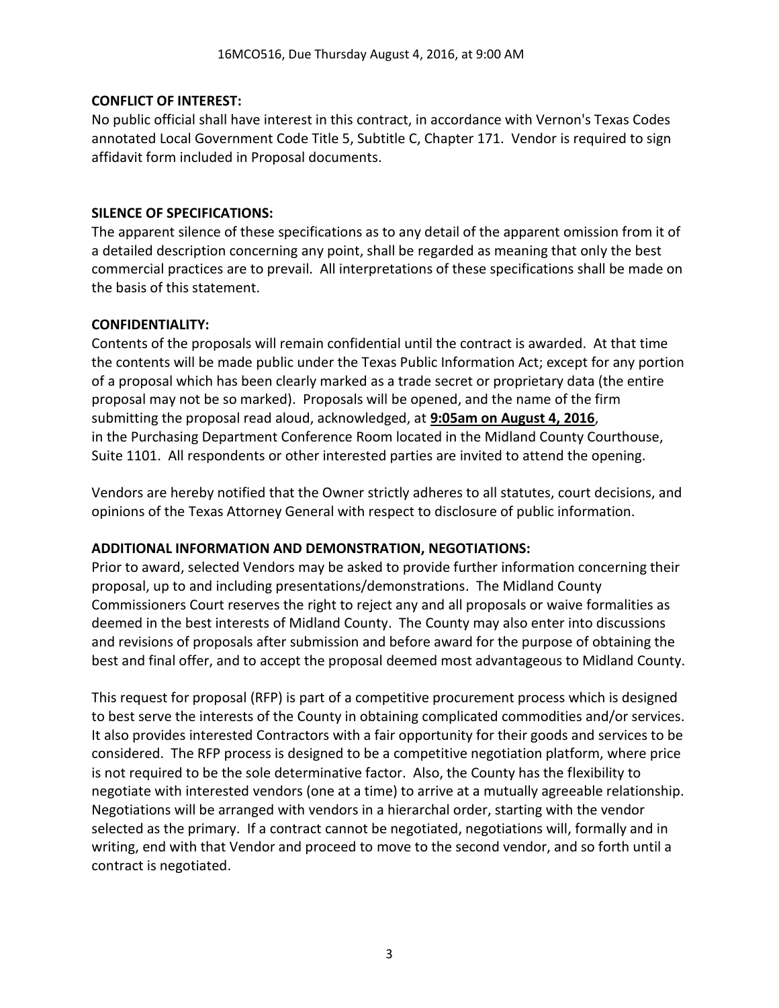# **CONFLICT OF INTEREST:**

No public official shall have interest in this contract, in accordance with Vernon's Texas Codes annotated Local Government Code Title 5, Subtitle C, Chapter 171. Vendor is required to sign affidavit form included in Proposal documents.

### **SILENCE OF SPECIFICATIONS:**

The apparent silence of these specifications as to any detail of the apparent omission from it of a detailed description concerning any point, shall be regarded as meaning that only the best commercial practices are to prevail. All interpretations of these specifications shall be made on the basis of this statement.

# **CONFIDENTIALITY:**

Contents of the proposals will remain confidential until the contract is awarded. At that time the contents will be made public under the Texas Public Information Act; except for any portion of a proposal which has been clearly marked as a trade secret or proprietary data (the entire proposal may not be so marked). Proposals will be opened, and the name of the firm submitting the proposal read aloud, acknowledged, at **9:05am on August 4, 2016**, in the Purchasing Department Conference Room located in the Midland County Courthouse, Suite 1101. All respondents or other interested parties are invited to attend the opening.

Vendors are hereby notified that the Owner strictly adheres to all statutes, court decisions, and opinions of the Texas Attorney General with respect to disclosure of public information.

# **ADDITIONAL INFORMATION AND DEMONSTRATION, NEGOTIATIONS:**

Prior to award, selected Vendors may be asked to provide further information concerning their proposal, up to and including presentations/demonstrations. The Midland County Commissioners Court reserves the right to reject any and all proposals or waive formalities as deemed in the best interests of Midland County. The County may also enter into discussions and revisions of proposals after submission and before award for the purpose of obtaining the best and final offer, and to accept the proposal deemed most advantageous to Midland County.

This request for proposal (RFP) is part of a competitive procurement process which is designed to best serve the interests of the County in obtaining complicated commodities and/or services. It also provides interested Contractors with a fair opportunity for their goods and services to be considered. The RFP process is designed to be a competitive negotiation platform, where price is not required to be the sole determinative factor. Also, the County has the flexibility to negotiate with interested vendors (one at a time) to arrive at a mutually agreeable relationship. Negotiations will be arranged with vendors in a hierarchal order, starting with the vendor selected as the primary. If a contract cannot be negotiated, negotiations will, formally and in writing, end with that Vendor and proceed to move to the second vendor, and so forth until a contract is negotiated.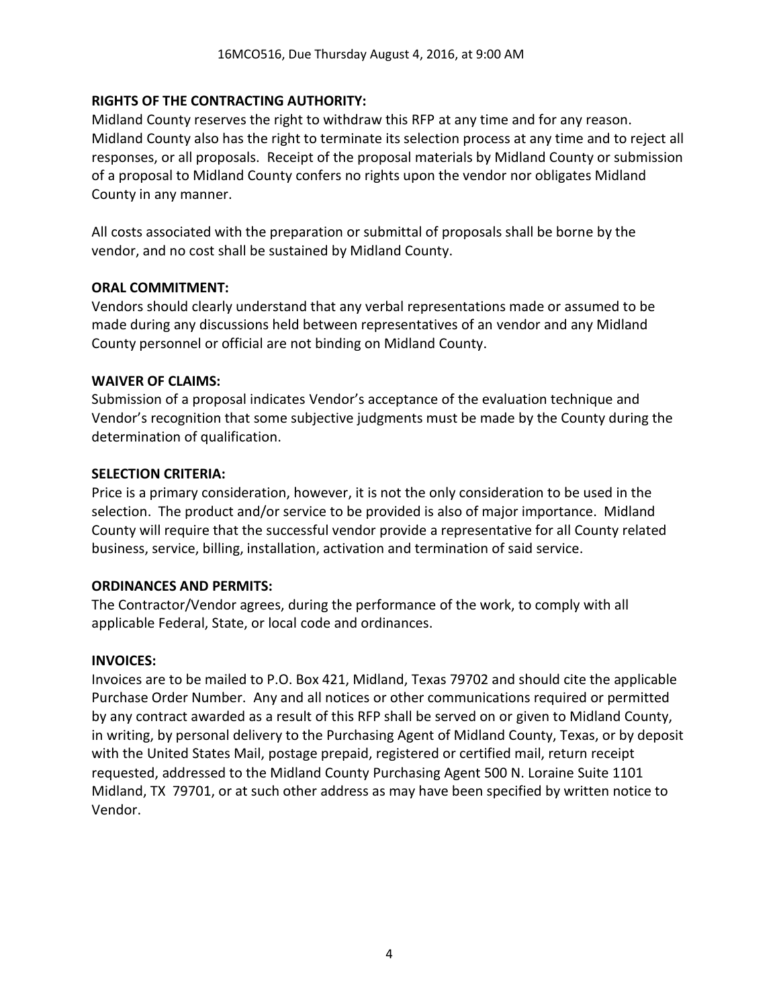# **RIGHTS OF THE CONTRACTING AUTHORITY:**

Midland County reserves the right to withdraw this RFP at any time and for any reason. Midland County also has the right to terminate its selection process at any time and to reject all responses, or all proposals. Receipt of the proposal materials by Midland County or submission of a proposal to Midland County confers no rights upon the vendor nor obligates Midland County in any manner.

All costs associated with the preparation or submittal of proposals shall be borne by the vendor, and no cost shall be sustained by Midland County.

### **ORAL COMMITMENT:**

Vendors should clearly understand that any verbal representations made or assumed to be made during any discussions held between representatives of an vendor and any Midland County personnel or official are not binding on Midland County.

### **WAIVER OF CLAIMS:**

Submission of a proposal indicates Vendor's acceptance of the evaluation technique and Vendor's recognition that some subjective judgments must be made by the County during the determination of qualification.

#### **SELECTION CRITERIA:**

Price is a primary consideration, however, it is not the only consideration to be used in the selection. The product and/or service to be provided is also of major importance. Midland County will require that the successful vendor provide a representative for all County related business, service, billing, installation, activation and termination of said service.

### **ORDINANCES AND PERMITS:**

The Contractor/Vendor agrees, during the performance of the work, to comply with all applicable Federal, State, or local code and ordinances.

### **INVOICES:**

Invoices are to be mailed to P.O. Box 421, Midland, Texas 79702 and should cite the applicable Purchase Order Number. Any and all notices or other communications required or permitted by any contract awarded as a result of this RFP shall be served on or given to Midland County, in writing, by personal delivery to the Purchasing Agent of Midland County, Texas, or by deposit with the United States Mail, postage prepaid, registered or certified mail, return receipt requested, addressed to the Midland County Purchasing Agent 500 N. Loraine Suite 1101 Midland, TX 79701, or at such other address as may have been specified by written notice to Vendor.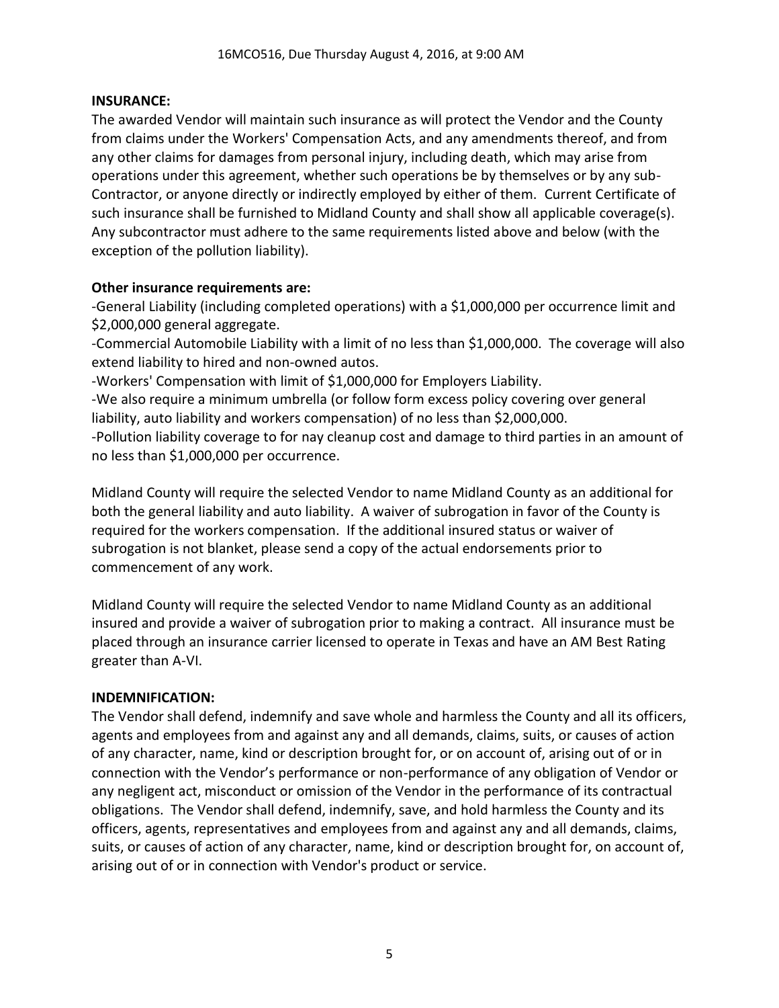# **INSURANCE:**

The awarded Vendor will maintain such insurance as will protect the Vendor and the County from claims under the Workers' Compensation Acts, and any amendments thereof, and from any other claims for damages from personal injury, including death, which may arise from operations under this agreement, whether such operations be by themselves or by any sub-Contractor, or anyone directly or indirectly employed by either of them. Current Certificate of such insurance shall be furnished to Midland County and shall show all applicable coverage(s). Any subcontractor must adhere to the same requirements listed above and below (with the exception of the pollution liability).

# **Other insurance requirements are:**

-General Liability (including completed operations) with a \$1,000,000 per occurrence limit and \$2,000,000 general aggregate.

-Commercial Automobile Liability with a limit of no less than \$1,000,000. The coverage will also extend liability to hired and non-owned autos.

-Workers' Compensation with limit of \$1,000,000 for Employers Liability.

-We also require a minimum umbrella (or follow form excess policy covering over general liability, auto liability and workers compensation) of no less than \$2,000,000.

-Pollution liability coverage to for nay cleanup cost and damage to third parties in an amount of no less than \$1,000,000 per occurrence.

Midland County will require the selected Vendor to name Midland County as an additional for both the general liability and auto liability. A waiver of subrogation in favor of the County is required for the workers compensation. If the additional insured status or waiver of subrogation is not blanket, please send a copy of the actual endorsements prior to commencement of any work.

Midland County will require the selected Vendor to name Midland County as an additional insured and provide a waiver of subrogation prior to making a contract. All insurance must be placed through an insurance carrier licensed to operate in Texas and have an AM Best Rating greater than A-VI.

# **INDEMNIFICATION:**

The Vendor shall defend, indemnify and save whole and harmless the County and all its officers, agents and employees from and against any and all demands, claims, suits, or causes of action of any character, name, kind or description brought for, or on account of, arising out of or in connection with the Vendor's performance or non-performance of any obligation of Vendor or any negligent act, misconduct or omission of the Vendor in the performance of its contractual obligations. The Vendor shall defend, indemnify, save, and hold harmless the County and its officers, agents, representatives and employees from and against any and all demands, claims, suits, or causes of action of any character, name, kind or description brought for, on account of, arising out of or in connection with Vendor's product or service.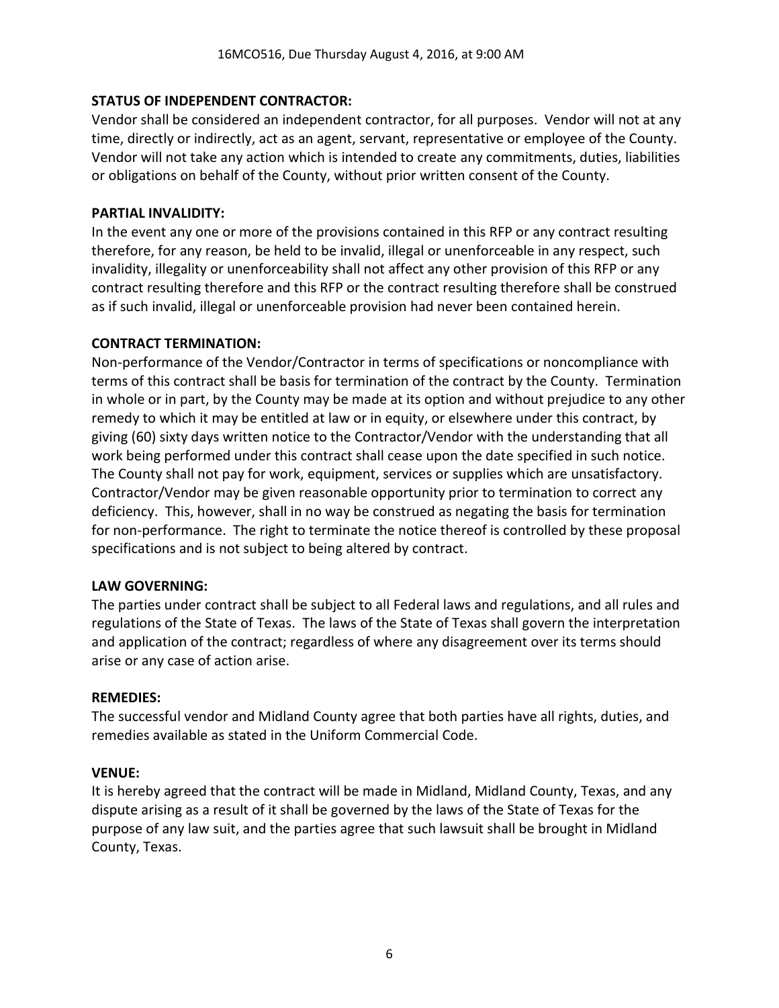# **STATUS OF INDEPENDENT CONTRACTOR:**

Vendor shall be considered an independent contractor, for all purposes. Vendor will not at any time, directly or indirectly, act as an agent, servant, representative or employee of the County. Vendor will not take any action which is intended to create any commitments, duties, liabilities or obligations on behalf of the County, without prior written consent of the County.

### **PARTIAL INVALIDITY:**

In the event any one or more of the provisions contained in this RFP or any contract resulting therefore, for any reason, be held to be invalid, illegal or unenforceable in any respect, such invalidity, illegality or unenforceability shall not affect any other provision of this RFP or any contract resulting therefore and this RFP or the contract resulting therefore shall be construed as if such invalid, illegal or unenforceable provision had never been contained herein.

# **CONTRACT TERMINATION:**

Non-performance of the Vendor/Contractor in terms of specifications or noncompliance with terms of this contract shall be basis for termination of the contract by the County. Termination in whole or in part, by the County may be made at its option and without prejudice to any other remedy to which it may be entitled at law or in equity, or elsewhere under this contract, by giving (60) sixty days written notice to the Contractor/Vendor with the understanding that all work being performed under this contract shall cease upon the date specified in such notice. The County shall not pay for work, equipment, services or supplies which are unsatisfactory. Contractor/Vendor may be given reasonable opportunity prior to termination to correct any deficiency. This, however, shall in no way be construed as negating the basis for termination for non-performance. The right to terminate the notice thereof is controlled by these proposal specifications and is not subject to being altered by contract.

### **LAW GOVERNING:**

The parties under contract shall be subject to all Federal laws and regulations, and all rules and regulations of the State of Texas. The laws of the State of Texas shall govern the interpretation and application of the contract; regardless of where any disagreement over its terms should arise or any case of action arise.

### **REMEDIES:**

The successful vendor and Midland County agree that both parties have all rights, duties, and remedies available as stated in the Uniform Commercial Code.

### **VENUE:**

It is hereby agreed that the contract will be made in Midland, Midland County, Texas, and any dispute arising as a result of it shall be governed by the laws of the State of Texas for the purpose of any law suit, and the parties agree that such lawsuit shall be brought in Midland County, Texas.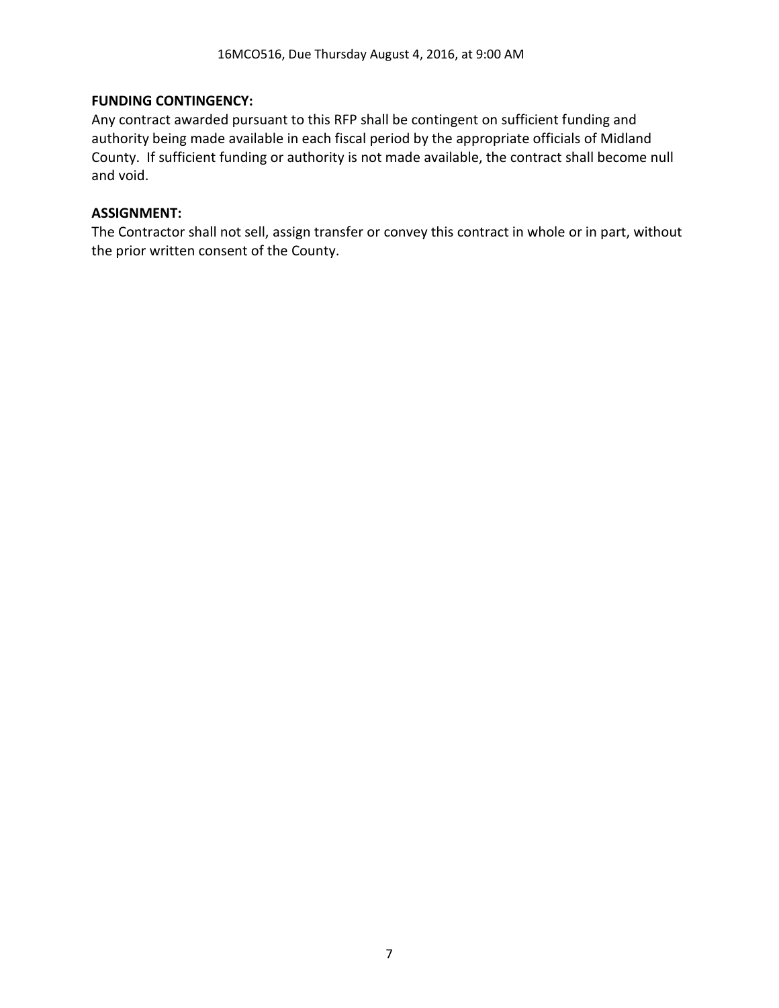### **FUNDING CONTINGENCY:**

Any contract awarded pursuant to this RFP shall be contingent on sufficient funding and authority being made available in each fiscal period by the appropriate officials of Midland County. If sufficient funding or authority is not made available, the contract shall become null and void.

### **ASSIGNMENT:**

The Contractor shall not sell, assign transfer or convey this contract in whole or in part, without the prior written consent of the County.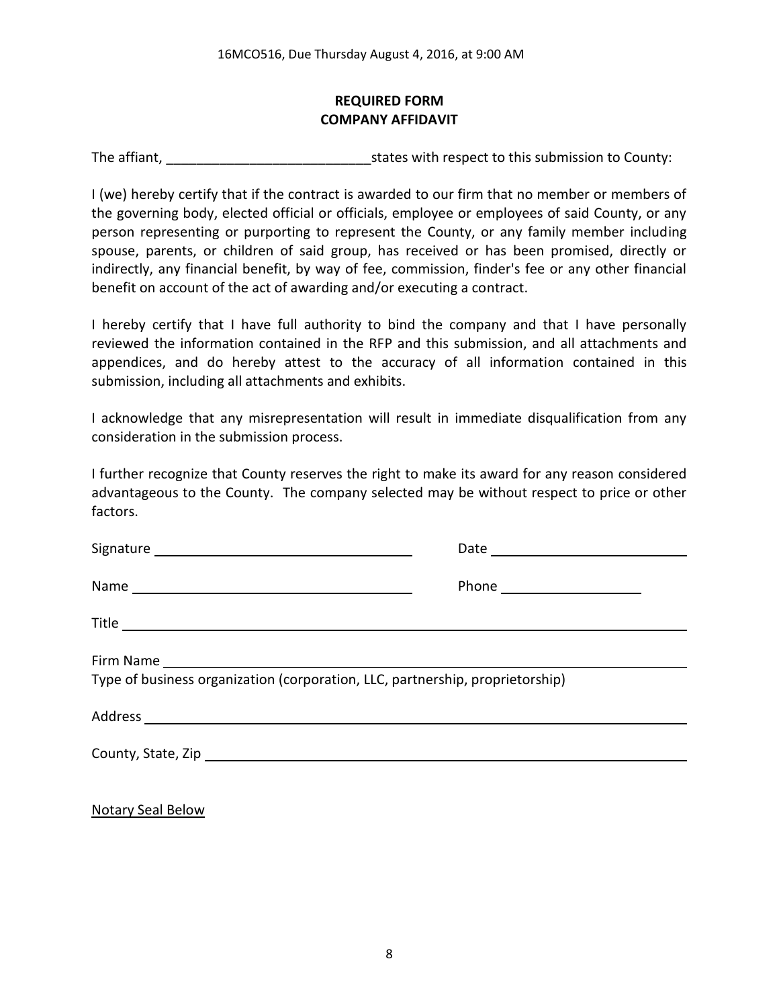# **REQUIRED FORM COMPANY AFFIDAVIT**

The affiant, The affiant, The affiant,  $\frac{1}{2}$  is tates with respect to this submission to County:

I (we) hereby certify that if the contract is awarded to our firm that no member or members of the governing body, elected official or officials, employee or employees of said County, or any person representing or purporting to represent the County, or any family member including spouse, parents, or children of said group, has received or has been promised, directly or indirectly, any financial benefit, by way of fee, commission, finder's fee or any other financial benefit on account of the act of awarding and/or executing a contract.

I hereby certify that I have full authority to bind the company and that I have personally reviewed the information contained in the RFP and this submission, and all attachments and appendices, and do hereby attest to the accuracy of all information contained in this submission, including all attachments and exhibits.

I acknowledge that any misrepresentation will result in immediate disqualification from any consideration in the submission process.

I further recognize that County reserves the right to make its award for any reason considered advantageous to the County. The company selected may be without respect to price or other factors.

|                                                                               | Date __________________________ |
|-------------------------------------------------------------------------------|---------------------------------|
|                                                                               |                                 |
|                                                                               |                                 |
| Type of business organization (corporation, LLC, partnership, proprietorship) |                                 |
|                                                                               |                                 |
|                                                                               |                                 |
|                                                                               |                                 |

Notary Seal Below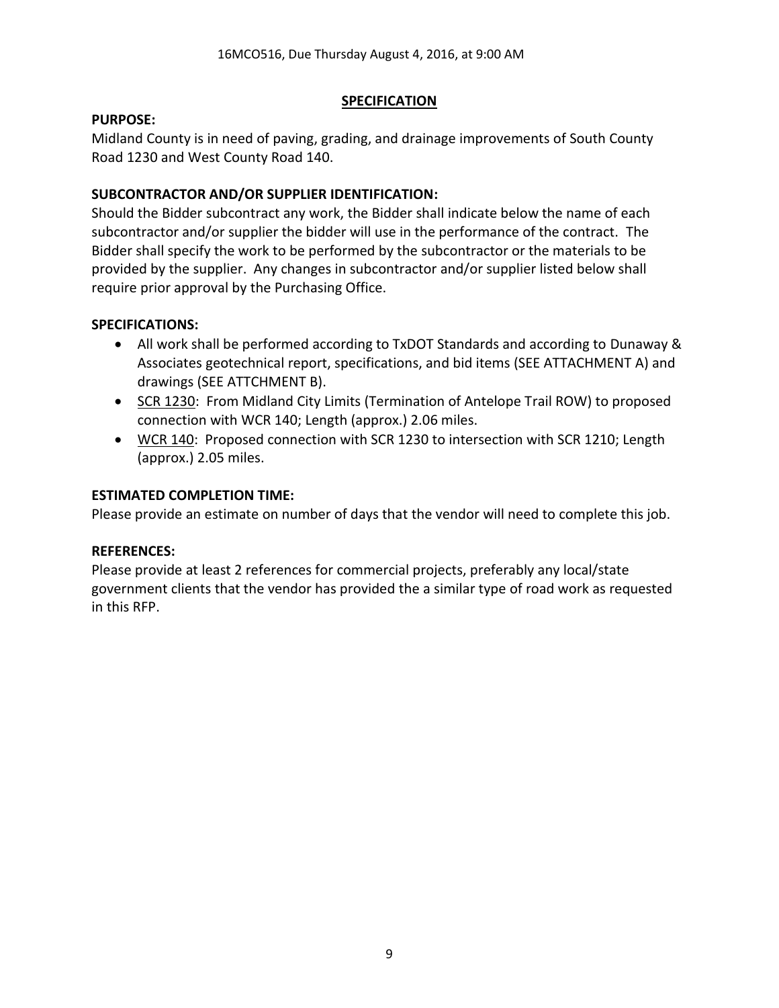# **SPECIFICATION**

### **PURPOSE:**

Midland County is in need of paving, grading, and drainage improvements of South County Road 1230 and West County Road 140.

# **SUBCONTRACTOR AND/OR SUPPLIER IDENTIFICATION:**

Should the Bidder subcontract any work, the Bidder shall indicate below the name of each subcontractor and/or supplier the bidder will use in the performance of the contract. The Bidder shall specify the work to be performed by the subcontractor or the materials to be provided by the supplier. Any changes in subcontractor and/or supplier listed below shall require prior approval by the Purchasing Office.

# **SPECIFICATIONS:**

- All work shall be performed according to TxDOT Standards and according to Dunaway & Associates geotechnical report, specifications, and bid items (SEE ATTACHMENT A) and drawings (SEE ATTCHMENT B).
- SCR 1230: From Midland City Limits (Termination of Antelope Trail ROW) to proposed connection with WCR 140; Length (approx.) 2.06 miles.
- WCR 140: Proposed connection with SCR 1230 to intersection with SCR 1210; Length (approx.) 2.05 miles.

# **ESTIMATED COMPLETION TIME:**

Please provide an estimate on number of days that the vendor will need to complete this job.

# **REFERENCES:**

Please provide at least 2 references for commercial projects, preferably any local/state government clients that the vendor has provided the a similar type of road work as requested in this RFP.